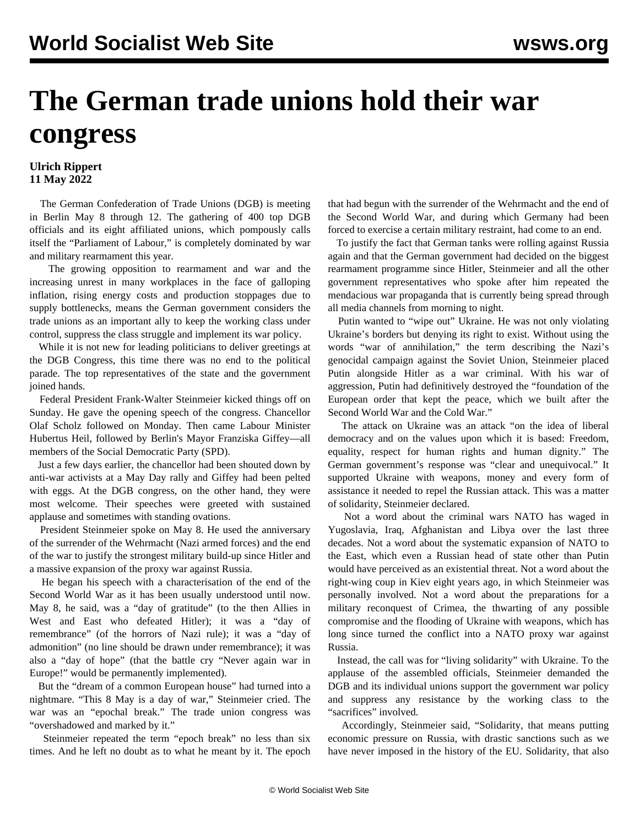## **The German trade unions hold their war congress**

## **Ulrich Rippert 11 May 2022**

 The German Confederation of Trade Unions (DGB) is meeting in Berlin May 8 through 12. The gathering of 400 top DGB officials and its eight affiliated unions, which pompously calls itself the "Parliament of Labour," is completely dominated by war and military rearmament this year.

 The growing opposition to rearmament and war and the increasing unrest in many workplaces in the face of galloping inflation, rising energy costs and production stoppages due to supply bottlenecks, means the German government considers the trade unions as an important ally to keep the working class under control, suppress the class struggle and implement its war policy.

 While it is not new for leading politicians to deliver greetings at the DGB Congress, this time there was no end to the political parade. The top representatives of the state and the government joined hands.

 Federal President Frank-Walter Steinmeier kicked things off on Sunday. He gave the opening speech of the congress. Chancellor Olaf Scholz followed on Monday. Then came Labour Minister Hubertus Heil, followed by Berlin's Mayor Franziska Giffey—all members of the Social Democratic Party (SPD).

 Just a few days earlier, the chancellor had been shouted down by anti-war activists at a May Day rally and Giffey had been pelted with eggs. At the DGB congress, on the other hand, they were most welcome. Their speeches were greeted with sustained applause and sometimes with standing ovations.

 President Steinmeier spoke on May 8. He used the anniversary of the surrender of the Wehrmacht (Nazi armed forces) and the end of the war to justify the strongest military build-up since Hitler and a massive expansion of the proxy war against Russia.

 He began his speech with a characterisation of the end of the Second World War as it has been usually understood until now. May 8, he said, was a "day of gratitude" (to the then Allies in West and East who defeated Hitler); it was a "day of remembrance" (of the horrors of Nazi rule); it was a "day of admonition" (no line should be drawn under remembrance); it was also a "day of hope" (that the battle cry "Never again war in Europe!" would be permanently implemented).

 But the "dream of a common European house" had turned into a nightmare. "This 8 May is a day of war," Steinmeier cried. The war was an "epochal break." The trade union congress was "overshadowed and marked by it."

 Steinmeier repeated the term "epoch break" no less than six times. And he left no doubt as to what he meant by it. The epoch that had begun with the surrender of the Wehrmacht and the end of the Second World War, and during which Germany had been forced to exercise a certain military restraint, had come to an end.

 To justify the fact that German tanks were rolling against Russia again and that the German government had decided on the biggest rearmament programme since Hitler, Steinmeier and all the other government representatives who spoke after him repeated the mendacious war propaganda that is currently being spread through all media channels from morning to night.

 Putin wanted to "wipe out" Ukraine. He was not only violating Ukraine's borders but denying its right to exist. Without using the words "war of annihilation," the term describing the Nazi's genocidal campaign against the Soviet Union, Steinmeier placed Putin alongside Hitler as a war criminal. With his war of aggression, Putin had definitively destroyed the "foundation of the European order that kept the peace, which we built after the Second World War and the Cold War."

 The attack on Ukraine was an attack "on the idea of liberal democracy and on the values upon which it is based: Freedom, equality, respect for human rights and human dignity." The German government's response was "clear and unequivocal." It supported Ukraine with weapons, money and every form of assistance it needed to repel the Russian attack. This was a matter of solidarity, Steinmeier declared.

 Not a word about the criminal wars NATO has waged in Yugoslavia, Iraq, Afghanistan and Libya over the last three decades. Not a word about the systematic expansion of NATO to the East, which even a Russian head of state other than Putin would have perceived as an existential threat. Not a word about the right-wing coup in Kiev eight years ago, in which Steinmeier was personally involved. Not a word about the preparations for a military reconquest of Crimea, the thwarting of any possible compromise and the flooding of Ukraine with weapons, which has long since turned the conflict into a NATO proxy war against Russia.

 Instead, the call was for "living solidarity" with Ukraine. To the applause of the assembled officials, Steinmeier demanded the DGB and its individual unions support the government war policy and suppress any resistance by the working class to the "sacrifices" involved.

 Accordingly, Steinmeier said, "Solidarity, that means putting economic pressure on Russia, with drastic sanctions such as we have never imposed in the history of the EU. Solidarity, that also